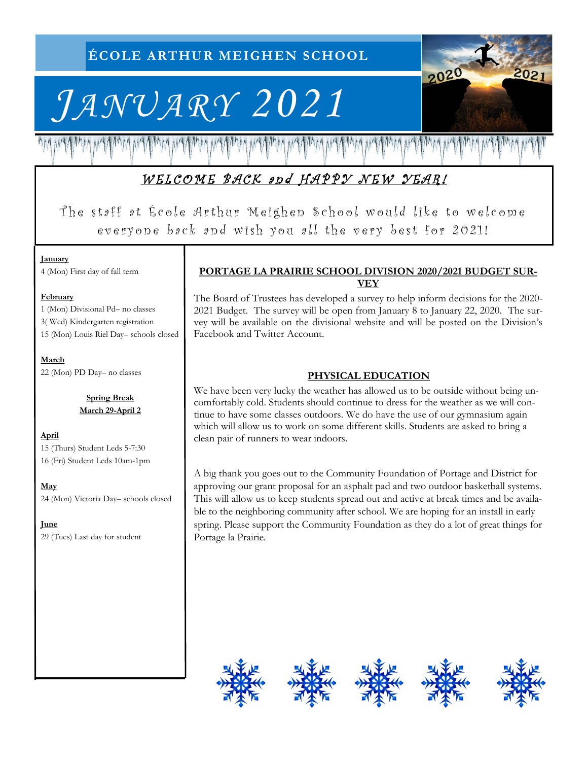# *JANUARY 2021*

2020  $202$ 

# WELCOME BACK and HAPPY NEW YEAR!

The staff at École Arthur Meighen School would like to welcome everyone back and wish you all the very best for 2021!

#### **January**

4 (Mon) First day of fall term

#### **February**

1 (Mon) Divisional Pd– no classes 3( Wed) Kindergarten registration 15 (Mon) Louis Riel Day– schools closed

**March** 22 (Mon) PD Day– no classes

> **Spring Break March 29-April 2**

#### **April** 15 (Thurs) Student Leds 5-7:30 16 (Fri) Student Leds 10am-1pm

**May** 24 (Mon) Victoria Day– schools closed

**June**  29 (Tues) Last day for student

### **PORTAGE LA PRAIRIE SCHOOL DIVISION 2020/2021 BUDGET SUR-VEY**

The Board of Trustees has developed a survey to help inform decisions for the 2020- 2021 Budget. The survey will be open from January 8 to January 22, 2020. The survey will be available on the divisional website and will be posted on the Division's Facebook and Twitter Account.

## **PHYSICAL EDUCATION**

We have been very lucky the weather has allowed us to be outside without being uncomfortably cold. Students should continue to dress for the weather as we will continue to have some classes outdoors. We do have the use of our gymnasium again which will allow us to work on some different skills. Students are asked to bring a clean pair of runners to wear indoors.

A big thank you goes out to the Community Foundation of Portage and District for approving our grant proposal for an asphalt pad and two outdoor basketball systems. This will allow us to keep students spread out and active at break times and be available to the neighboring community after school. We are hoping for an install in early spring. Please support the Community Foundation as they do a lot of great things for Portage la Prairie.